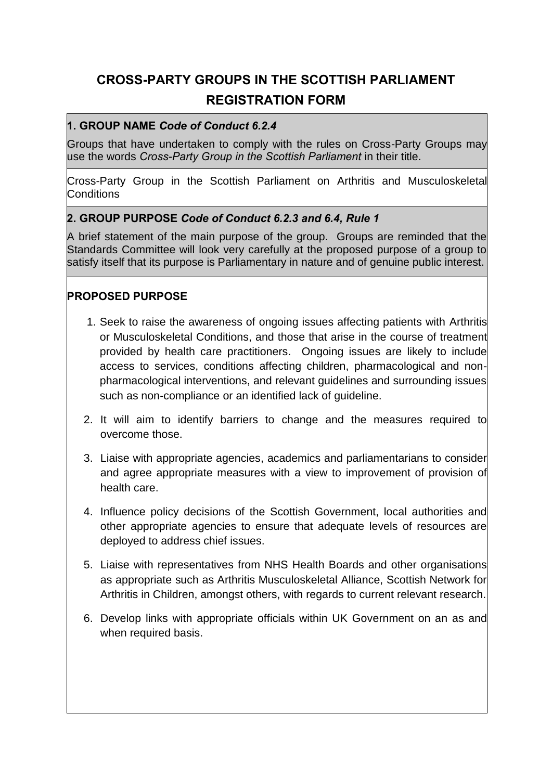# **CROSS-PARTY GROUPS IN THE SCOTTISH PARLIAMENT REGISTRATION FORM**

### **1. GROUP NAME** *Code of Conduct 6.2.4*

Groups that have undertaken to comply with the rules on Cross-Party Groups may use the words *Cross-Party Group in the Scottish Parliament* in their title.

Cross-Party Group in the Scottish Parliament on Arthritis and Musculoskeletal **Conditions** 

#### **2. GROUP PURPOSE** *Code of Conduct 6.2.3 and 6.4, Rule 1*

A brief statement of the main purpose of the group. Groups are reminded that the Standards Committee will look very carefully at the proposed purpose of a group to satisfy itself that its purpose is Parliamentary in nature and of genuine public interest.

#### **PROPOSED PURPOSE**

- 1. Seek to raise the awareness of ongoing issues affecting patients with Arthritis or Musculoskeletal Conditions, and those that arise in the course of treatment provided by health care practitioners. Ongoing issues are likely to include access to services, conditions affecting children, pharmacological and nonpharmacological interventions, and relevant guidelines and surrounding issues such as non-compliance or an identified lack of guideline.
- 2. It will aim to identify barriers to change and the measures required to overcome those.
- 3. Liaise with appropriate agencies, academics and parliamentarians to consider and agree appropriate measures with a view to improvement of provision of health care.
- 4. Influence policy decisions of the Scottish Government, local authorities and other appropriate agencies to ensure that adequate levels of resources are deployed to address chief issues.
- 5. Liaise with representatives from NHS Health Boards and other organisations as appropriate such as Arthritis Musculoskeletal Alliance, Scottish Network for Arthritis in Children, amongst others, with regards to current relevant research.
- 6. Develop links with appropriate officials within UK Government on an as and when required basis.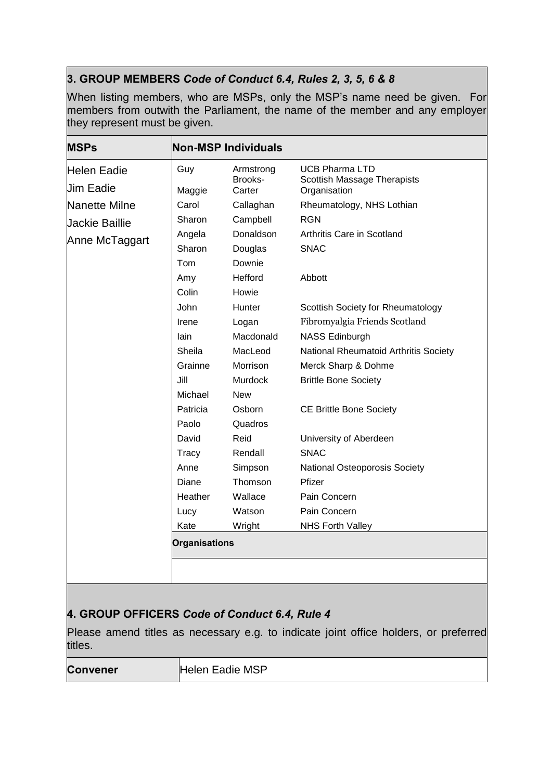## **3. GROUP MEMBERS** *Code of Conduct 6.4, Rules 2, 3, 5, 6 & 8*

When listing members, who are MSPs, only the MSP's name need be given. For members from outwith the Parliament, the name of the member and any employer they represent must be given.

| <b>MSPs</b>                                   | <b>Non-MSP Individuals</b> |                                |                                                                                      |  |
|-----------------------------------------------|----------------------------|--------------------------------|--------------------------------------------------------------------------------------|--|
| Helen Eadie<br><b>Jim Eadie</b>               | Guy<br>Maggie              | Armstrong<br>Brooks-<br>Carter | <b>UCB Pharma LTD</b><br>Scottish Massage Therapists<br>Organisation                 |  |
| Nanette Milne                                 | Carol                      | Callaghan                      | Rheumatology, NHS Lothian                                                            |  |
|                                               | Sharon                     | Campbell                       | <b>RGN</b>                                                                           |  |
| <b>Jackie Baillie</b><br>Anne McTaggart       | Angela                     | Donaldson                      | Arthritis Care in Scotland                                                           |  |
|                                               | Sharon                     | Douglas                        | <b>SNAC</b>                                                                          |  |
|                                               | Tom                        | Downie                         |                                                                                      |  |
|                                               | Amy                        | Hefford                        | Abbott                                                                               |  |
|                                               | Colin                      | Howie                          |                                                                                      |  |
|                                               | John                       | Hunter                         | Scottish Society for Rheumatology                                                    |  |
|                                               | Irene                      | Logan                          | Fibromyalgia Friends Scotland                                                        |  |
|                                               | lain                       | Macdonald                      | <b>NASS Edinburgh</b>                                                                |  |
|                                               | Sheila                     | MacLeod                        | National Rheumatoid Arthritis Society                                                |  |
|                                               | Grainne                    | Morrison                       | Merck Sharp & Dohme                                                                  |  |
|                                               | Jill                       | <b>Murdock</b>                 | <b>Brittle Bone Society</b>                                                          |  |
|                                               | Michael                    | <b>New</b>                     |                                                                                      |  |
|                                               | Patricia                   | Osborn                         | <b>CE Brittle Bone Society</b>                                                       |  |
|                                               | Paolo                      | Quadros                        |                                                                                      |  |
|                                               | David                      | Reid                           | University of Aberdeen                                                               |  |
|                                               | Tracy                      | Rendall                        | <b>SNAC</b>                                                                          |  |
|                                               | Anne                       | Simpson                        | National Osteoporosis Society                                                        |  |
|                                               | Diane                      | Thomson                        | Pfizer                                                                               |  |
|                                               | Heather                    | Wallace                        | Pain Concern                                                                         |  |
|                                               | Lucy                       | Watson                         | Pain Concern                                                                         |  |
|                                               | Kate                       | Wright                         | <b>NHS Forth Valley</b>                                                              |  |
|                                               | <b>Organisations</b>       |                                |                                                                                      |  |
|                                               |                            |                                |                                                                                      |  |
|                                               |                            |                                |                                                                                      |  |
|                                               |                            |                                |                                                                                      |  |
| 4. GROUP OFFICERS Code of Conduct 6.4, Rule 4 |                            |                                |                                                                                      |  |
|                                               |                            |                                |                                                                                      |  |
|                                               |                            |                                | Please amend titles as necessary e.g. to indicate joint office holders, or preferred |  |
| titles.                                       |                            |                                |                                                                                      |  |

**Convener** Helen Eadie MSP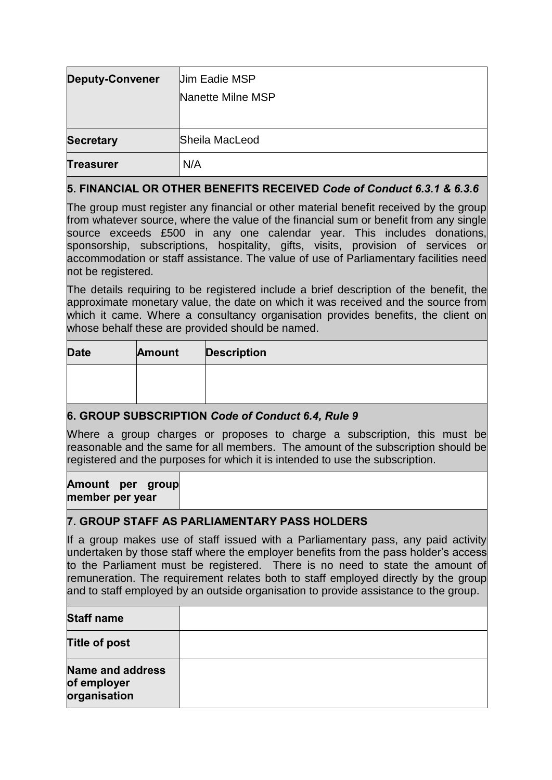| <b>Deputy-Convener</b>                                                                                                                                                                                                                                                                                                                                                                                                                                     |        | Uim Eadie MSP |                                                   |  |  |
|------------------------------------------------------------------------------------------------------------------------------------------------------------------------------------------------------------------------------------------------------------------------------------------------------------------------------------------------------------------------------------------------------------------------------------------------------------|--------|---------------|---------------------------------------------------|--|--|
|                                                                                                                                                                                                                                                                                                                                                                                                                                                            |        |               | Nanette Milne MSP                                 |  |  |
|                                                                                                                                                                                                                                                                                                                                                                                                                                                            |        |               |                                                   |  |  |
| <b>Secretary</b>                                                                                                                                                                                                                                                                                                                                                                                                                                           |        |               | Sheila MacLeod                                    |  |  |
| <b>Treasurer</b>                                                                                                                                                                                                                                                                                                                                                                                                                                           | N/A    |               |                                                   |  |  |
| 5. FINANCIAL OR OTHER BENEFITS RECEIVED Code of Conduct 6.3.1 & 6.3.6                                                                                                                                                                                                                                                                                                                                                                                      |        |               |                                                   |  |  |
| The group must register any financial or other material benefit received by the group<br>from whatever source, where the value of the financial sum or benefit from any single<br>source exceeds £500 in any one calendar year. This includes donations,<br>sponsorship, subscriptions, hospitality, gifts, visits, provision of services or<br>accommodation or staff assistance. The value of use of Parliamentary facilities need<br>not be registered. |        |               |                                                   |  |  |
| The details requiring to be registered include a brief description of the benefit, the<br>approximate monetary value, the date on which it was received and the source from<br>which it came. Where a consultancy organisation provides benefits, the client on<br>whose behalf these are provided should be named.                                                                                                                                        |        |               |                                                   |  |  |
| <b>Date</b>                                                                                                                                                                                                                                                                                                                                                                                                                                                | Amount |               | <b>Description</b>                                |  |  |
|                                                                                                                                                                                                                                                                                                                                                                                                                                                            |        |               |                                                   |  |  |
|                                                                                                                                                                                                                                                                                                                                                                                                                                                            |        |               | 6. GROUP SUBSCRIPTION Code of Conduct 6.4, Rule 9 |  |  |
| Where a group charges or proposes to charge a subscription, this must be<br>reasonable and the same for all members. The amount of the subscription should be<br>registered and the purposes for which it is intended to use the subscription.                                                                                                                                                                                                             |        |               |                                                   |  |  |
| Amount per group<br>member per year                                                                                                                                                                                                                                                                                                                                                                                                                        |        |               |                                                   |  |  |
| 7. GROUP STAFF AS PARLIAMENTARY PASS HOLDERS                                                                                                                                                                                                                                                                                                                                                                                                               |        |               |                                                   |  |  |
| If a group makes use of staff issued with a Parliamentary pass, any paid activity<br>undertaken by those staff where the employer benefits from the pass holder's access<br>to the Parliament must be registered. There is no need to state the amount of<br>remuneration. The requirement relates both to staff employed directly by the group<br>and to staff employed by an outside organisation to provide assistance to the group.                    |        |               |                                                   |  |  |
| <b>Staff name</b>                                                                                                                                                                                                                                                                                                                                                                                                                                          |        |               |                                                   |  |  |
| <b>Title of post</b>                                                                                                                                                                                                                                                                                                                                                                                                                                       |        |               |                                                   |  |  |
| <b>Name and address</b><br>of employer<br>organisation                                                                                                                                                                                                                                                                                                                                                                                                     |        |               |                                                   |  |  |